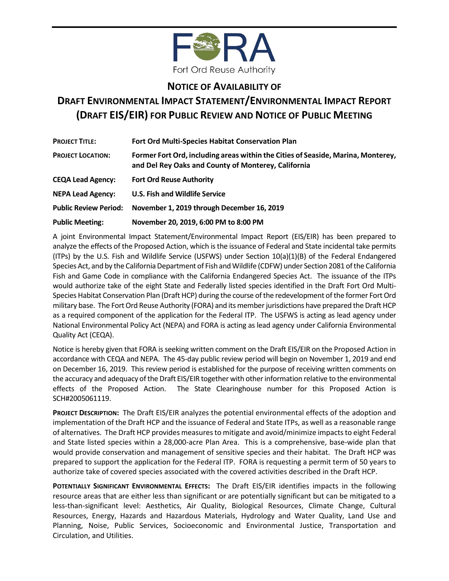

## **NOTICE OF AVAILABILITY OF**

# **DRAFT ENVIRONMENTAL IMPACT STATEMENT/ENVIRONMENTAL IMPACT REPORT (DRAFT EIS/EIR) FOR PUBLIC REVIEW AND NOTICE OF PUBLIC MEETING**

| <b>PROJECT TITLE:</b>        | <b>Fort Ord Multi-Species Habitat Conservation Plan</b>                                                                                 |
|------------------------------|-----------------------------------------------------------------------------------------------------------------------------------------|
| <b>PROJECT LOCATION:</b>     | Former Fort Ord, including areas within the Cities of Seaside, Marina, Monterey,<br>and Del Rey Oaks and County of Monterey, California |
| <b>CEQA Lead Agency:</b>     | <b>Fort Ord Reuse Authority</b>                                                                                                         |
| <b>NEPA Lead Agency:</b>     | <b>U.S. Fish and Wildlife Service</b>                                                                                                   |
| <b>Public Review Period:</b> | November 1, 2019 through December 16, 2019                                                                                              |
| <b>Public Meeting:</b>       | November 20, 2019, 6:00 PM to 8:00 PM                                                                                                   |

A joint Environmental Impact Statement/Environmental Impact Report (EIS/EIR) has been prepared to analyze the effects of the Proposed Action, which is the issuance of Federal and State incidental take permits (ITPs) by the U.S. Fish and Wildlife Service (USFWS) under Section 10(a)(1)(B) of the Federal Endangered Species Act, and by the California Department of Fish and Wildlife (CDFW) under Section 2081 of the California Fish and Game Code in compliance with the California Endangered Species Act. The issuance of the ITPs would authorize take of the eight State and Federally listed species identified in the Draft Fort Ord Multi-Species Habitat Conservation Plan (Draft HCP) during the course of the redevelopment of the former Fort Ord military base. The Fort Ord Reuse Authority (FORA) and its member jurisdictions have prepared the Draft HCP as a required component of the application for the Federal ITP. The USFWS is acting as lead agency under National Environmental Policy Act (NEPA) and FORA is acting as lead agency under California Environmental Quality Act (CEQA).

Notice is hereby given that FORA is seeking written comment on the Draft EIS/EIR on the Proposed Action in accordance with CEQA and NEPA. The 45-day public review period will begin on November 1, 2019 and end on December 16, 2019. This review period is established for the purpose of receiving written comments on the accuracy and adequacy of the Draft EIS/EIR together with other information relative to the environmental effects of the Proposed Action. The State Clearinghouse number for this Proposed Action is SCH#2005061119.

**PROJECT DESCRIPTION:** The Draft EIS/EIR analyzes the potential environmental effects of the adoption and implementation of the Draft HCP and the issuance of Federal and State ITPs, as well as a reasonable range of alternatives. The Draft HCP provides measures to mitigate and avoid/minimize impacts to eight Federal and State listed species within a 28,000-acre Plan Area. This is a comprehensive, base-wide plan that would provide conservation and management of sensitive species and their habitat. The Draft HCP was prepared to support the application for the Federal ITP. FORA is requesting a permit term of 50 years to authorize take of covered species associated with the covered activities described in the Draft HCP.

**POTENTIALLY SIGNIFICANT ENVIRONMENTAL EFFECTS:** The Draft EIS/EIR identifies impacts in the following resource areas that are either less than significant or are potentially significant but can be mitigated to a less-than-significant level: Aesthetics, Air Quality, Biological Resources, Climate Change, Cultural Resources, Energy, Hazards and Hazardous Materials, Hydrology and Water Quality, Land Use and Planning, Noise, Public Services, Socioeconomic and Environmental Justice, Transportation and Circulation, and Utilities.